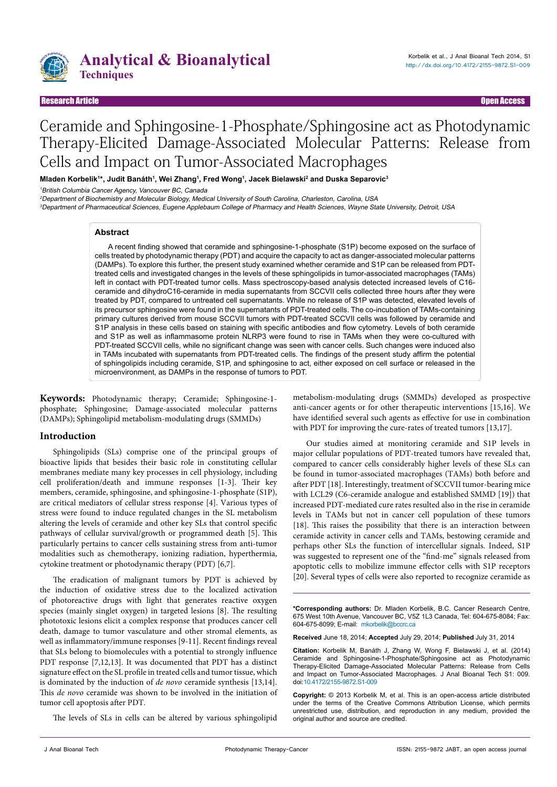

## Research Article Open Access

# Ceramide and Sphingosine-1-Phosphate/Sphingosine act as Photodynamic Therapy-Elicited Damage-Associated Molecular Patterns: Release from Cells and Impact on Tumor-Associated Macrophages

**Mladen Korbelik1 \*, Judit Banáth1 , Wei Zhang1 , Fred Wong1 , Jacek Bielawski2 and Duska Separovic3**

<sup>1</sup>British Columbia Cancer Agency, Vancouver BC, Canada

<sup>2</sup>Department of Biochemistry and Molecular Biology, Medical University of South Carolina, Charleston, Carolina, USA

3Department of Pharmaceutical Sciences, Eugene Applebaum College of Pharmacy and Health Sciences, Wayne State University, Detroit, USA

#### **Abstract**

A recent finding showed that ceramide and sphingosine-1-phosphate (S1P) become exposed on the surface of cells treated by photodynamic therapy (PDT) and acquire the capacity to act as danger-associated molecular patterns (DAMPs). To explore this further, the present study examined whether ceramide and S1P can be released from PDTtreated cells and investigated changes in the levels of these sphingolipids in tumor-associated macrophages (TAMs) left in contact with PDT-treated tumor cells. Mass spectroscopy-based analysis detected increased levels of C16 ceramide and dihydroC16-ceramide in media supernatants from SCCVII cells collected three hours after they were treated by PDT, compared to untreated cell supernatants. While no release of S1P was detected, elevated levels of its precursor sphingosine were found in the supernatants of PDT-treated cells. The co-incubation of TAMs-containing primary cultures derived from mouse SCCVII tumors with PDT-treated SCCVII cells was followed by ceramide and S1P analysis in these cells based on staining with specific antibodies and flow cytometry. Levels of both ceramide and S1P as well as inflammasome protein NLRP3 were found to rise in TAMs when they were co-cultured with PDT-treated SCCVII cells, while no significant change was seen with cancer cells. Such changes were induced also in TAMs incubated with supernatants from PDT-treated cells. The findings of the present study affirm the potential of sphingolipids including ceramide, S1P, and sphingosine to act, either exposed on cell surface or released in the microenvironment, as DAMPs in the response of tumors to PDT.

**Keywords:** Photodynamic therapy; Ceramide; Sphingosine-1 phosphate; Sphingosine; Damage-associated molecular patterns (DAMPs); Sphingolipid metabolism-modulating drugs (SMMDs)

## **Introduction**

Sphingolipids (SLs) comprise one of the principal groups of bioactive lipids that besides their basic role in constituting cellular membranes mediate many key processes in cell physiology, including cell proliferation/death and immune responses [1-3]. Their key members, ceramide, sphingosine, and sphingosine-1-phosphate (S1P), are critical mediators of cellular stress response [4]. Various types of stress were found to induce regulated changes in the SL metabolism altering the levels of ceramide and other key SLs that control specific pathways of cellular survival/growth or programmed death [5]. This particularly pertains to cancer cells sustaining stress from anti-tumor modalities such as chemotherapy, ionizing radiation, hyperthermia, cytokine treatment or photodynamic therapy (PDT) [6,7].

The eradication of malignant tumors by PDT is achieved by the induction of oxidative stress due to the localized activation of photoreactive drugs with light that generates reactive oxygen species (mainly singlet oxygen) in targeted lesions [8]. The resulting phototoxic lesions elicit a complex response that produces cancer cell death, damage to tumor vasculature and other stromal elements, as well as inflammatory/immune responses [9-11]. Recent findings reveal that SLs belong to biomolecules with a potential to strongly influence PDT response [7,12,13]. It was documented that PDT has a distinct signature effect on the SL profile in treated cells and tumor tissue, which is dominated by the induction of *de novo* ceramide synthesis [13,14]. This *de novo* ceramide was shown to be involved in the initiation of tumor cell apoptosis after PDT.

The levels of SLs in cells can be altered by various sphingolipid

metabolism-modulating drugs (SMMDs) developed as prospective anti-cancer agents or for other therapeutic interventions [15,16]. We have identified several such agents as effective for use in combination with PDT for improving the cure-rates of treated tumors [13,17].

Our studies aimed at monitoring ceramide and S1P levels in major cellular populations of PDT-treated tumors have revealed that, compared to cancer cells considerably higher levels of these SLs can be found in tumor-associated macrophages (TAMs) both before and after PDT [18]. Interestingly, treatment of SCCVII tumor-bearing mice with LCL29 (C6-ceramide analogue and established SMMD [19]) that increased PDT-mediated cure rates resulted also in the rise in ceramide levels in TAMs but not in cancer cell population of these tumors [18]. This raises the possibility that there is an interaction between ceramide activity in cancer cells and TAMs, bestowing ceramide and perhaps other SLs the function of intercellular signals. Indeed, S1P was suggested to represent one of the "find-me" signals released from apoptotic cells to mobilize immune effector cells with S1P receptors [20]. Several types of cells were also reported to recognize ceramide as

**\*Corresponding authors:** Dr. Mladen Korbelik, B.C. Cancer Research Centre, 675 West 10th Avenue, Vancouver BC, V5Z 1L3 Canada, Tel: 604-675-8084; Fax: 604-675-8099; E-mail: mkorbelik@bccrc.ca

**Received** June 18, 2014; **Accepted** July 29, 2014; **Published** July 31, 2014

**Citation:** Korbelik M, Banáth J, Zhang W, Wong F, Bielawski J, et al. (2014) Ceramide and Sphingosine-1-Phosphate/Sphingosine act as Photodynamic Therapy-Elicited Damage-Associated Molecular Patterns: Release from Cells and Impact on Tumor-Associated Macrophages. J Anal Bioanal Tech S1: 009. doi:[10.4172/2155-9872.S1-009](http://dx.doi.org/10.4172/2155-9872.S1-009)

**Copyright:** © 2013 Korbelik M, et al. This is an open-access article distributed under the terms of the Creative Commons Attribution License, which permits unrestricted use, distribution, and reproduction in any medium, provided the original author and source are credited.